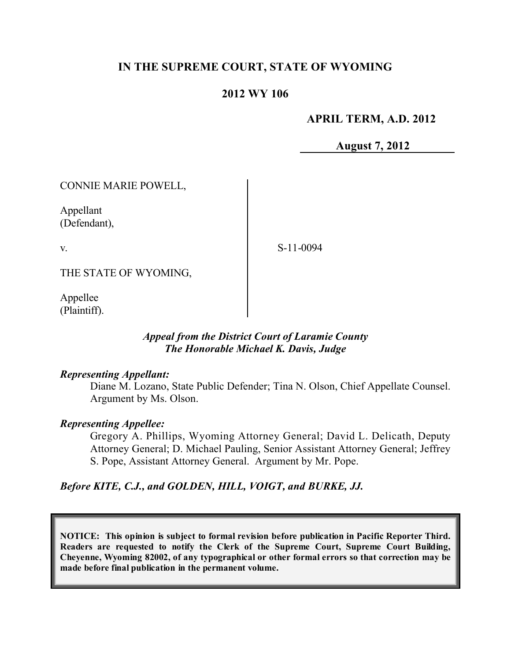# **IN THE SUPREME COURT, STATE OF WYOMING**

### **2012 WY 106**

### **APRIL TERM, A.D. 2012**

**August 7, 2012**

CONNIE MARIE POWELL,

Appellant (Defendant),

v.

S-11-0094

THE STATE OF WYOMING,

Appellee (Plaintiff).

### *Appeal from the District Court of Laramie County The Honorable Michael K. Davis, Judge*

#### *Representing Appellant:*

Diane M. Lozano, State Public Defender; Tina N. Olson, Chief Appellate Counsel. Argument by Ms. Olson.

#### *Representing Appellee:*

Gregory A. Phillips, Wyoming Attorney General; David L. Delicath, Deputy Attorney General; D. Michael Pauling, Senior Assistant Attorney General; Jeffrey S. Pope, Assistant Attorney General. Argument by Mr. Pope.

## *Before KITE, C.J., and GOLDEN, HILL, VOIGT, and BURKE, JJ.*

**NOTICE: This opinion is subject to formal revision before publication in Pacific Reporter Third. Readers are requested to notify the Clerk of the Supreme Court, Supreme Court Building, Cheyenne, Wyoming 82002, of any typographical or other formal errors so that correction may be made before final publication in the permanent volume.**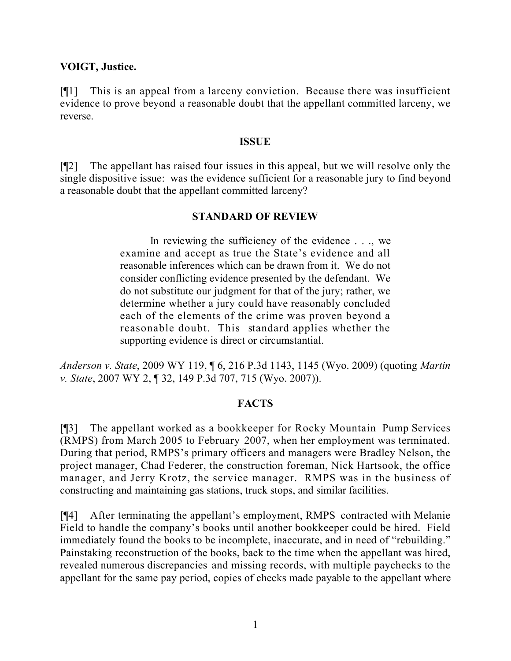### **VOIGT, Justice.**

[¶1] This is an appeal from a larceny conviction. Because there was insufficient evidence to prove beyond a reasonable doubt that the appellant committed larceny, we reverse.

#### **ISSUE**

[¶2] The appellant has raised four issues in this appeal, but we will resolve only the single dispositive issue: was the evidence sufficient for a reasonable jury to find beyond a reasonable doubt that the appellant committed larceny?

### **STANDARD OF REVIEW**

In reviewing the sufficiency of the evidence . . ., we examine and accept as true the State's evidence and all reasonable inferences which can be drawn from it. We do not consider conflicting evidence presented by the defendant. We do not substitute our judgment for that of the jury; rather, we determine whether a jury could have reasonably concluded each of the elements of the crime was proven beyond a reasonable doubt. This standard applies whether the supporting evidence is direct or circumstantial.

*Anderson v. State*, 2009 WY 119, ¶ 6, 216 P.3d 1143, 1145 (Wyo. 2009) (quoting *Martin v. State*, 2007 WY 2, ¶ 32, 149 P.3d 707, 715 (Wyo. 2007)).

## **FACTS**

[¶3] The appellant worked as a bookkeeper for Rocky Mountain Pump Services (RMPS) from March 2005 to February 2007, when her employment was terminated. During that period, RMPS's primary officers and managers were Bradley Nelson, the project manager, Chad Federer, the construction foreman, Nick Hartsook, the office manager, and Jerry Krotz, the service manager. RMPS was in the business of constructing and maintaining gas stations, truck stops, and similar facilities.

[¶4] After terminating the appellant's employment, RMPS contracted with Melanie Field to handle the company's books until another bookkeeper could be hired. Field immediately found the books to be incomplete, inaccurate, and in need of "rebuilding." Painstaking reconstruction of the books, back to the time when the appellant was hired, revealed numerous discrepancies and missing records, with multiple paychecks to the appellant for the same pay period, copies of checks made payable to the appellant where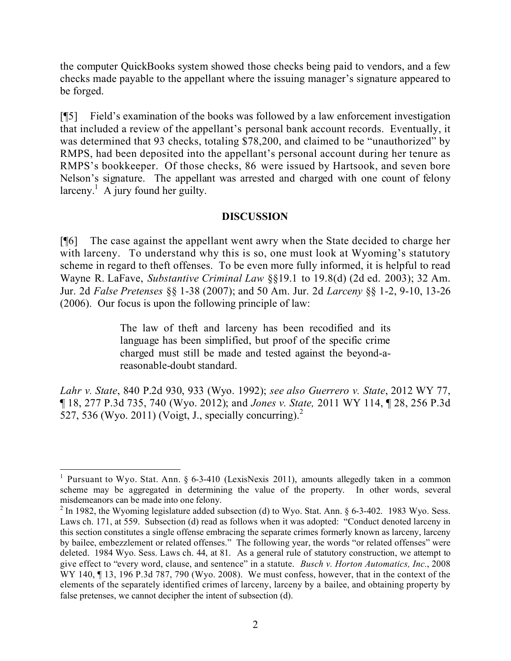the computer QuickBooks system showed those checks being paid to vendors, and a few checks made payable to the appellant where the issuing manager's signature appeared to be forged.

[¶5] Field's examination of the books was followed by a law enforcement investigation that included a review of the appellant's personal bank account records. Eventually, it was determined that 93 checks, totaling \$78,200, and claimed to be "unauthorized" by RMPS, had been deposited into the appellant's personal account during her tenure as RMPS's bookkeeper. Of those checks, 86 were issued by Hartsook, and seven bore Nelson's signature. The appellant was arrested and charged with one count of felony larceny.<sup>1</sup> A jury found her guilty.

# **DISCUSSION**

[¶6] The case against the appellant went awry when the State decided to charge her with larceny. To understand why this is so, one must look at Wyoming's statutory scheme in regard to theft offenses. To be even more fully informed, it is helpful to read Wayne R. LaFave, *Substantive Criminal Law* §§19.1 to 19.8(d) (2d ed. 2003); 32 Am. Jur. 2d *False Pretenses* §§ 1-38 (2007); and 50 Am. Jur. 2d *Larceny* §§ 1-2, 9-10, 13-26 (2006). Our focus is upon the following principle of law:

> The law of theft and larceny has been recodified and its language has been simplified, but proof of the specific crime charged must still be made and tested against the beyond-areasonable-doubt standard.

*Lahr v. State*, 840 P.2d 930, 933 (Wyo. 1992); *see also Guerrero v. State*, 2012 WY 77, ¶ 18, 277 P.3d 735, 740 (Wyo. 2012); and *Jones v. State,* 2011 WY 114, ¶ 28, 256 P.3d 527, 536 (Wyo. 2011) (Voigt, J., specially concurring).<sup>2</sup>

<sup>&</sup>lt;sup>1</sup> Pursuant to Wyo. Stat. Ann. § 6-3-410 (LexisNexis 2011), amounts allegedly taken in a common scheme may be aggregated in determining the value of the property. In other words, several misdemeanors can be made into one felony.

 $2 \text{ In } 1982$ , the Wyoming legislature added subsection (d) to Wyo. Stat. Ann. § 6-3-402. 1983 Wyo. Sess. Laws ch. 171, at 559. Subsection (d) read as follows when it was adopted: "Conduct denoted larceny in this section constitutes a single offense embracing the separate crimes formerly known as larceny, larceny by bailee, embezzlement or related offenses." The following year, the words "or related offenses" were deleted. 1984 Wyo. Sess. Laws ch. 44, at 81. As a general rule of statutory construction, we attempt to give effect to "every word, clause, and sentence" in a statute. *Busch v. Horton Automatics, Inc.*, 2008 WY 140,  $\P$  13, 196 P.3d 787, 790 (Wyo. 2008). We must confess, however, that in the context of the elements of the separately identified crimes of larceny, larceny by a bailee, and obtaining property by false pretenses, we cannot decipher the intent of subsection (d).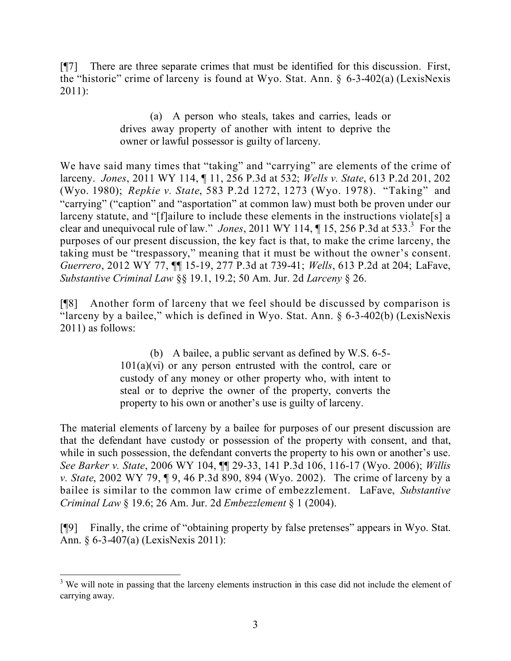[¶7] There are three separate crimes that must be identified for this discussion. First, the "historic" crime of larceny is found at Wyo. Stat. Ann. § 6-3-402(a) (LexisNexis 2011):

> (a) A person who steals, takes and carries, leads or drives away property of another with intent to deprive the owner or lawful possessor is guilty of larceny.

We have said many times that "taking" and "carrying" are elements of the crime of larceny. *Jones*, 2011 WY 114, ¶ 11, 256 P.3d at 532; *Wells v. State*, 613 P.2d 201, 202 (Wyo. 1980); *Repkie v. State*, 583 P.2d 1272, 1273 (Wyo. 1978). "Taking" and "carrying" ("caption" and "asportation" at common law) must both be proven under our larceny statute, and "[f]ailure to include these elements in the instructions violate[s] a clear and unequivocal rule of law." *Jones*, 2011 WY 114, ¶ 15, 256 P.3d at 533.<sup>3</sup> For the purposes of our present discussion, the key fact is that, to make the crime larceny, the taking must be "trespassory," meaning that it must be without the owner's consent. *Guerrero*, 2012 WY 77, ¶¶ 15-19, 277 P.3d at 739-41; *Wells*, 613 P.2d at 204; LaFave, *Substantive Criminal Law* §§ 19.1, 19.2; 50 Am. Jur. 2d *Larceny* § 26.

[¶8] Another form of larceny that we feel should be discussed by comparison is "larceny by a bailee," which is defined in Wyo. Stat. Ann. § 6-3-402(b) (LexisNexis 2011) as follows:

> (b) A bailee, a public servant as defined by W.S. 6-5-  $101(a)(vi)$  or any person entrusted with the control, care or custody of any money or other property who, with intent to steal or to deprive the owner of the property, converts the property to his own or another's use is guilty of larceny.

The material elements of larceny by a bailee for purposes of our present discussion are that the defendant have custody or possession of the property with consent, and that, while in such possession, the defendant converts the property to his own or another's use. *See Barker v. State*, 2006 WY 104, ¶¶ 29-33, 141 P.3d 106, 116-17 (Wyo. 2006); *Willis v. State*, 2002 WY 79, ¶ 9, 46 P.3d 890, 894 (Wyo. 2002). The crime of larceny by a bailee is similar to the common law crime of embezzlement. LaFave, *Substantive Criminal Law* § 19.6; 26 Am. Jur. 2d *Embezzlement* § 1 (2004).

[¶9] Finally, the crime of "obtaining property by false pretenses" appears in Wyo. Stat. Ann. § 6-3-407(a) (LexisNexis 2011):

  $3$  We will note in passing that the larceny elements instruction in this case did not include the element of carrying away.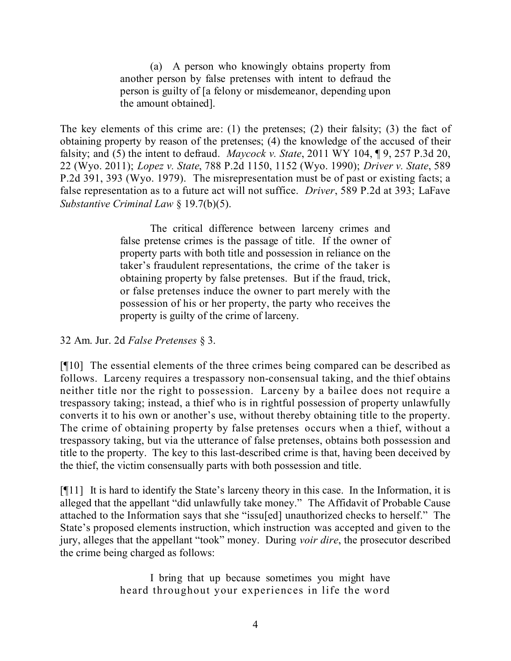(a) A person who knowingly obtains property from another person by false pretenses with intent to defraud the person is guilty of [a felony or misdemeanor, depending upon the amount obtained].

The key elements of this crime are: (1) the pretenses; (2) their falsity; (3) the fact of obtaining property by reason of the pretenses; (4) the knowledge of the accused of their falsity; and (5) the intent to defraud. *Maycock v. State*, 2011 WY 104, ¶ 9, 257 P.3d 20, 22 (Wyo. 2011); *Lopez v. State*, 788 P.2d 1150, 1152 (Wyo. 1990); *Driver v. State*, 589 P.2d 391, 393 (Wyo. 1979). The misrepresentation must be of past or existing facts; a false representation as to a future act will not suffice. *Driver*, 589 P.2d at 393; LaFave *Substantive Criminal Law* § 19.7(b)(5).

> The critical difference between larceny crimes and false pretense crimes is the passage of title. If the owner of property parts with both title and possession in reliance on the taker's fraudulent representations, the crime of the taker is obtaining property by false pretenses. But if the fraud, trick, or false pretenses induce the owner to part merely with the possession of his or her property, the party who receives the property is guilty of the crime of larceny.

32 Am. Jur. 2d *False Pretenses* § 3.

[¶10] The essential elements of the three crimes being compared can be described as follows. Larceny requires a trespassory non-consensual taking, and the thief obtains neither title nor the right to possession. Larceny by a bailee does not require a trespassory taking; instead, a thief who is in rightful possession of property unlawfully converts it to his own or another's use, without thereby obtaining title to the property. The crime of obtaining property by false pretenses occurs when a thief, without a trespassory taking, but via the utterance of false pretenses, obtains both possession and title to the property. The key to this last-described crime is that, having been deceived by the thief, the victim consensually parts with both possession and title.

[¶11] It is hard to identify the State's larceny theory in this case. In the Information, it is alleged that the appellant "did unlawfully take money." The Affidavit of Probable Cause attached to the Information says that she "issu[ed] unauthorized checks to herself." The State's proposed elements instruction, which instruction was accepted and given to the jury, alleges that the appellant "took" money. During *voir dire*, the prosecutor described the crime being charged as follows:

> I bring that up because sometimes you might have heard throughout your experiences in life the word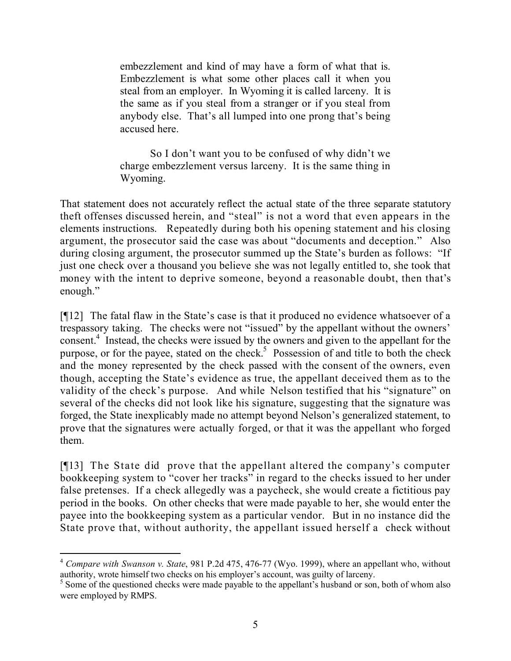embezzlement and kind of may have a form of what that is. Embezzlement is what some other places call it when you steal from an employer. In Wyoming it is called larceny. It is the same as if you steal from a stranger or if you steal from anybody else. That's all lumped into one prong that's being accused here.

So I don't want you to be confused of why didn't we charge embezzlement versus larceny. It is the same thing in Wyoming.

That statement does not accurately reflect the actual state of the three separate statutory theft offenses discussed herein, and "steal" is not a word that even appears in the elements instructions. Repeatedly during both his opening statement and his closing argument, the prosecutor said the case was about "documents and deception." Also during closing argument, the prosecutor summed up the State's burden as follows: "If just one check over a thousand you believe she was not legally entitled to, she took that money with the intent to deprive someone, beyond a reasonable doubt, then that's enough."

[¶12] The fatal flaw in the State's case is that it produced no evidence whatsoever of a trespassory taking. The checks were not "issued" by the appellant without the owners' consent.<sup>4</sup> Instead, the checks were issued by the owners and given to the appellant for the purpose, or for the payee, stated on the check.<sup>5</sup> Possession of and title to both the check and the money represented by the check passed with the consent of the owners, even though, accepting the State's evidence as true, the appellant deceived them as to the validity of the check's purpose. And while Nelson testified that his "signature" on several of the checks did not look like his signature, suggesting that the signature was forged, the State inexplicably made no attempt beyond Nelson's generalized statement, to prove that the signatures were actually forged, or that it was the appellant who forged them.

[¶13] The State did prove that the appellant altered the company's computer bookkeeping system to "cover her tracks" in regard to the checks issued to her under false pretenses. If a check allegedly was a paycheck, she would create a fictitious pay period in the books. On other checks that were made payable to her, she would enter the payee into the bookkeeping system as a particular vendor. But in no instance did the State prove that, without authority, the appellant issued herself a check without

<sup>4</sup> *Compare with Swanson v. State*, 981 P.2d 475, 476-77 (Wyo. 1999), where an appellant who, without authority, wrote himself two checks on his employer's account, was guilty of larceny.

<sup>&</sup>lt;sup>5</sup> Some of the questioned checks were made payable to the appellant's husband or son, both of whom also were employed by RMPS.